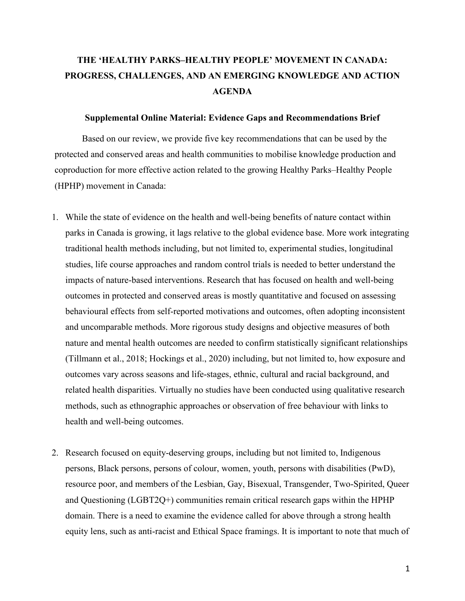## **THE 'HEALTHY PARKS–HEALTHY PEOPLE' MOVEMENT IN CANADA: PROGRESS, CHALLENGES, AND AN EMERGING KNOWLEDGE AND ACTION AGENDA**

## **Supplemental Online Material: Evidence Gaps and Recommendations Brief**

Based on our review, we provide five key recommendations that can be used by the protected and conserved areas and health communities to mobilise knowledge production and coproduction for more effective action related to the growing Healthy Parks–Healthy People (HPHP) movement in Canada:

- 1. While the state of evidence on the health and well-being benefits of nature contact within parks in Canada is growing, it lags relative to the global evidence base. More work integrating traditional health methods including, but not limited to, experimental studies, longitudinal studies, life course approaches and random control trials is needed to better understand the impacts of nature-based interventions. Research that has focused on health and well-being outcomes in protected and conserved areas is mostly quantitative and focused on assessing behavioural effects from self-reported motivations and outcomes, often adopting inconsistent and uncomparable methods. More rigorous study designs and objective measures of both nature and mental health outcomes are needed to confirm statistically significant relationships (Tillmann et al., 2018; Hockings et al., 2020) including, but not limited to, how exposure and outcomes vary across seasons and life-stages, ethnic, cultural and racial background, and related health disparities. Virtually no studies have been conducted using qualitative research methods, such as ethnographic approaches or observation of free behaviour with links to health and well-being outcomes.
- 2. Research focused on equity-deserving groups, including but not limited to, Indigenous persons, Black persons, persons of colour, women, youth, persons with disabilities (PwD), resource poor, and members of the Lesbian, Gay, Bisexual, Transgender, Two-Spirited, Queer and Questioning (LGBT2Q+) communities remain critical research gaps within the HPHP domain. There is a need to examine the evidence called for above through a strong health equity lens, such as anti-racist and Ethical Space framings. It is important to note that much of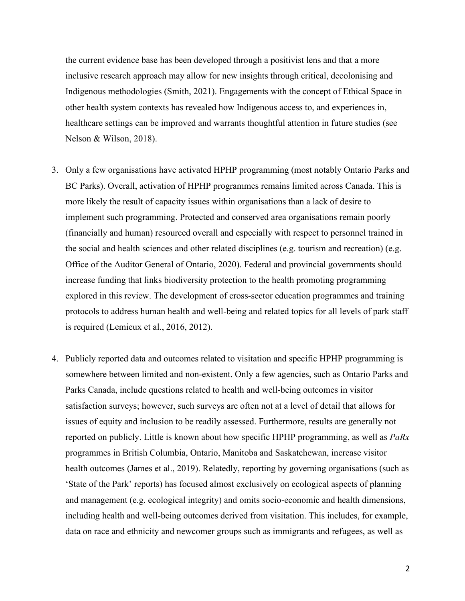the current evidence base has been developed through a positivist lens and that a more inclusive research approach may allow for new insights through critical, decolonising and Indigenous methodologies (Smith, 2021). Engagements with the concept of Ethical Space in other health system contexts has revealed how Indigenous access to, and experiences in, healthcare settings can be improved and warrants thoughtful attention in future studies (see Nelson & Wilson, 2018).

- 3. Only a few organisations have activated HPHP programming (most notably Ontario Parks and BC Parks). Overall, activation of HPHP programmes remains limited across Canada. This is more likely the result of capacity issues within organisations than a lack of desire to implement such programming. Protected and conserved area organisations remain poorly (financially and human) resourced overall and especially with respect to personnel trained in the social and health sciences and other related disciplines (e.g. tourism and recreation) (e.g. Office of the Auditor General of Ontario, 2020). Federal and provincial governments should increase funding that links biodiversity protection to the health promoting programming explored in this review. The development of cross-sector education programmes and training protocols to address human health and well-being and related topics for all levels of park staff is required (Lemieux et al., 2016, 2012).
- 4. Publicly reported data and outcomes related to visitation and specific HPHP programming is somewhere between limited and non-existent. Only a few agencies, such as Ontario Parks and Parks Canada, include questions related to health and well-being outcomes in visitor satisfaction surveys; however, such surveys are often not at a level of detail that allows for issues of equity and inclusion to be readily assessed. Furthermore, results are generally not reported on publicly. Little is known about how specific HPHP programming, as well as *PaRx* programmes in British Columbia, Ontario, Manitoba and Saskatchewan, increase visitor health outcomes (James et al., 2019). Relatedly, reporting by governing organisations (such as 'State of the Park' reports) has focused almost exclusively on ecological aspects of planning and management (e.g. ecological integrity) and omits socio-economic and health dimensions, including health and well-being outcomes derived from visitation. This includes, for example, data on race and ethnicity and newcomer groups such as immigrants and refugees, as well as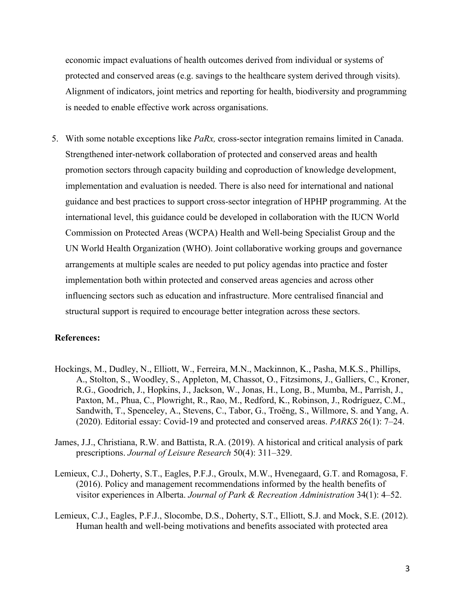economic impact evaluations of health outcomes derived from individual or systems of protected and conserved areas (e.g. savings to the healthcare system derived through visits). Alignment of indicators, joint metrics and reporting for health, biodiversity and programming is needed to enable effective work across organisations.

5. With some notable exceptions like *PaRx,* cross-sector integration remains limited in Canada. Strengthened inter-network collaboration of protected and conserved areas and health promotion sectors through capacity building and coproduction of knowledge development, implementation and evaluation is needed. There is also need for international and national guidance and best practices to support cross-sector integration of HPHP programming. At the international level, this guidance could be developed in collaboration with the IUCN World Commission on Protected Areas (WCPA) Health and Well-being Specialist Group and the UN World Health Organization (WHO). Joint collaborative working groups and governance arrangements at multiple scales are needed to put policy agendas into practice and foster implementation both within protected and conserved areas agencies and across other influencing sectors such as education and infrastructure. More centralised financial and structural support is required to encourage better integration across these sectors.

## **References:**

- Hockings, M., Dudley, N., Elliott, W., Ferreira, M.N., Mackinnon, K., Pasha, M.K.S., Phillips, A., Stolton, S., Woodley, S., Appleton, M, Chassot, O., Fitzsimons, J., Galliers, C., Kroner, R.G., Goodrich, J., Hopkins, J., Jackson, W., Jonas, H., Long, B., Mumba, M., Parrish, J., Paxton, M., Phua, C., Plowright, R., Rao, M., Redford, K., Robinson, J., Rodríguez, C.M., Sandwith, T., Spenceley, A., Stevens, C., Tabor, G., Troëng, S., Willmore, S. and Yang, A. (2020). Editorial essay: Covid-19 and protected and conserved areas. *PARKS* 26(1): 7–24.
- James, J.J., Christiana, R.W. and Battista, R.A. (2019). A historical and critical analysis of park prescriptions. *Journal of Leisure Research* 50(4): 311–329.
- Lemieux, C.J., Doherty, S.T., Eagles, P.F.J., Groulx, M.W., Hvenegaard, G.T. and Romagosa, F. (2016). Policy and management recommendations informed by the health benefits of visitor experiences in Alberta. *Journal of Park & Recreation Administration* 34(1): 4–52.
- Lemieux, C.J., Eagles, P.F.J., Slocombe, D.S., Doherty, S.T., Elliott, S.J. and Mock, S.E. (2012). Human health and well-being motivations and benefits associated with protected area